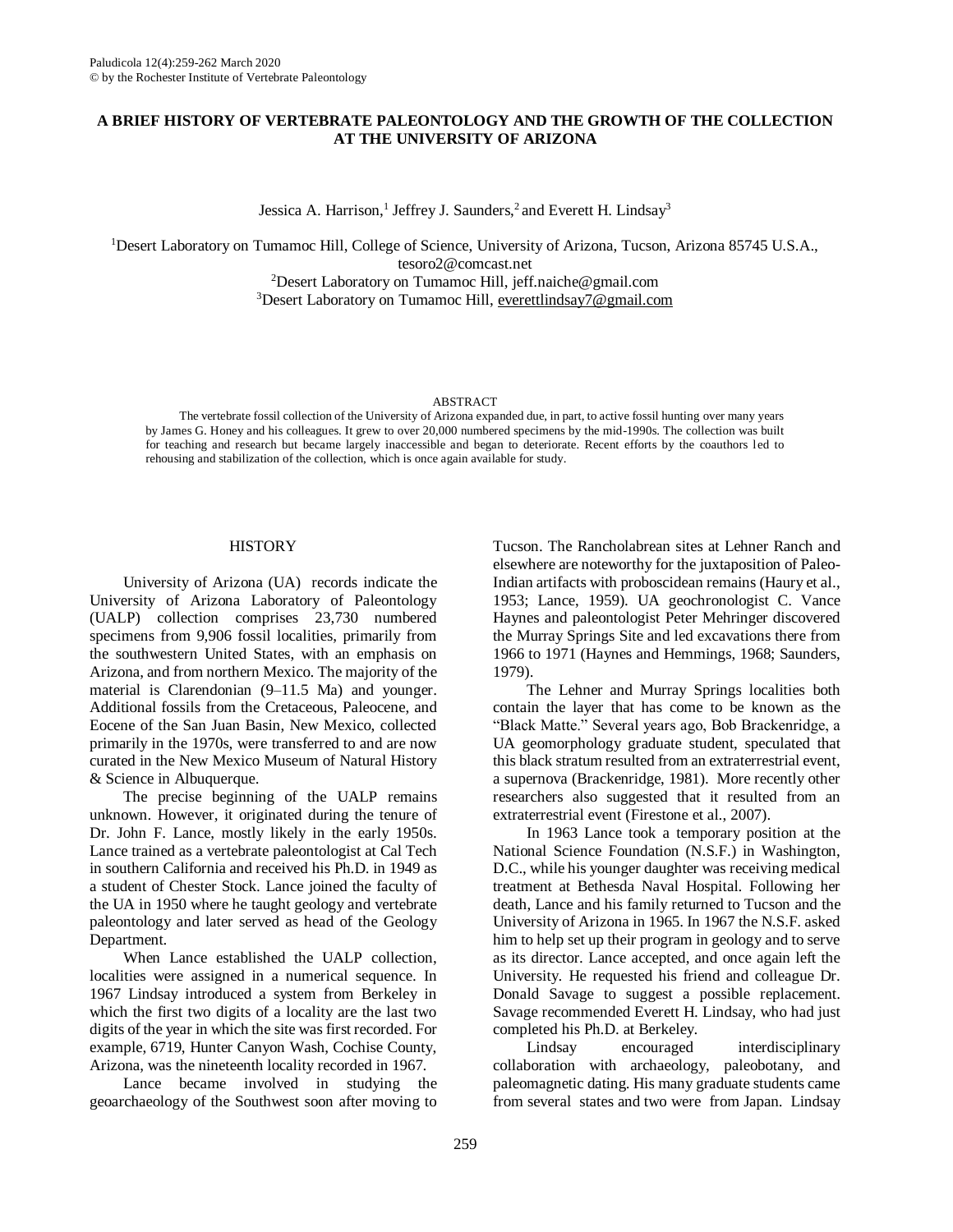# **A BRIEF HISTORY OF VERTEBRATE PALEONTOLOGY AND THE GROWTH OF THE COLLECTION AT THE UNIVERSITY OF ARIZONA**

Jessica A. Harrison,<sup>1</sup> Jeffrey J. Saunders,<sup>2</sup> and Everett H. Lindsay<sup>3</sup>

<sup>1</sup>Desert Laboratory on Tumamoc Hill, College of Science, University of Arizona, Tucson, Arizona 85745 U.S.A., [tesoro2@comcast.net](mailto:tesoro2@comcast.net) <sup>2</sup>Desert Laboratory on Tumamoc Hill, [jeff.naiche@gmail.com](mailto:jeff.naiche@gmail.com) <sup>3</sup>Desert Laboratory on Tumamoc Hill, [everettlindsay7@gmail.com](mailto:everettlindsay7@gmail.com)

#### ABSTRACT

The vertebrate fossil collection of the University of Arizona expanded due, in part, to active fossil hunting over many years by James G. Honey and his colleagues. It grew to over 20,000 numbered specimens by the mid-1990s. The collection was built for teaching and research but became largely inaccessible and began to deteriorate. Recent efforts by the coauthors led to rehousing and stabilization of the collection, which is once again available for study.

## **HISTORY**

University of Arizona (UA) records indicate the University of Arizona Laboratory of Paleontology (UALP) collection comprises 23,730 numbered specimens from 9,906 fossil localities, primarily from the southwestern United States, with an emphasis on Arizona, and from northern Mexico. The majority of the material is Clarendonian (9–11.5 Ma) and younger. Additional fossils from the Cretaceous, Paleocene, and Eocene of the San Juan Basin, New Mexico, collected primarily in the 1970s, were transferred to and are now curated in the New Mexico Museum of Natural History & Science in Albuquerque.

The precise beginning of the UALP remains unknown. However, it originated during the tenure of Dr. John F. Lance, mostly likely in the early 1950s. Lance trained as a vertebrate paleontologist at Cal Tech in southern California and received his Ph.D. in 1949 as a student of Chester Stock. Lance joined the faculty of the UA in 1950 where he taught geology and vertebrate paleontology and later served as head of the Geology Department.

When Lance established the UALP collection, localities were assigned in a numerical sequence. In 1967 Lindsay introduced a system from Berkeley in which the first two digits of a locality are the last two digits of the year in which the site was first recorded. For example, 6719, Hunter Canyon Wash, Cochise County, Arizona, was the nineteenth locality recorded in 1967.

Lance became involved in studying the geoarchaeology of the Southwest soon after moving to Tucson. The Rancholabrean sites at Lehner Ranch and elsewhere are noteworthy for the juxtaposition of Paleo-Indian artifacts with proboscidean remains (Haury et al., 1953; Lance, 1959). UA geochronologist C. Vance Haynes and paleontologist Peter Mehringer discovered the Murray Springs Site and led excavations there from 1966 to 1971 (Haynes and Hemmings, 1968; Saunders, 1979).

The Lehner and Murray Springs localities both contain the layer that has come to be known as the "Black Matte." Several years ago, Bob Brackenridge, a UA geomorphology graduate student, speculated that this black stratum resulted from an extraterrestrial event, a supernova (Brackenridge, 1981). More recently other researchers also suggested that it resulted from an extraterrestrial event (Firestone et al., 2007).

In 1963 Lance took a temporary position at the National Science Foundation (N.S.F.) in Washington, D.C., while his younger daughter was receiving medical treatment at Bethesda Naval Hospital. Following her death, Lance and his family returned to Tucson and the University of Arizona in 1965. In 1967 the N.S.F. asked him to help set up their program in geology and to serve as its director. Lance accepted, and once again left the University. He requested his friend and colleague Dr. Donald Savage to suggest a possible replacement. Savage recommended Everett H. Lindsay, who had just completed his Ph.D. at Berkeley.

Lindsay encouraged interdisciplinary collaboration with archaeology, paleobotany, and paleomagnetic dating. His many graduate students came from several states and two were from Japan. Lindsay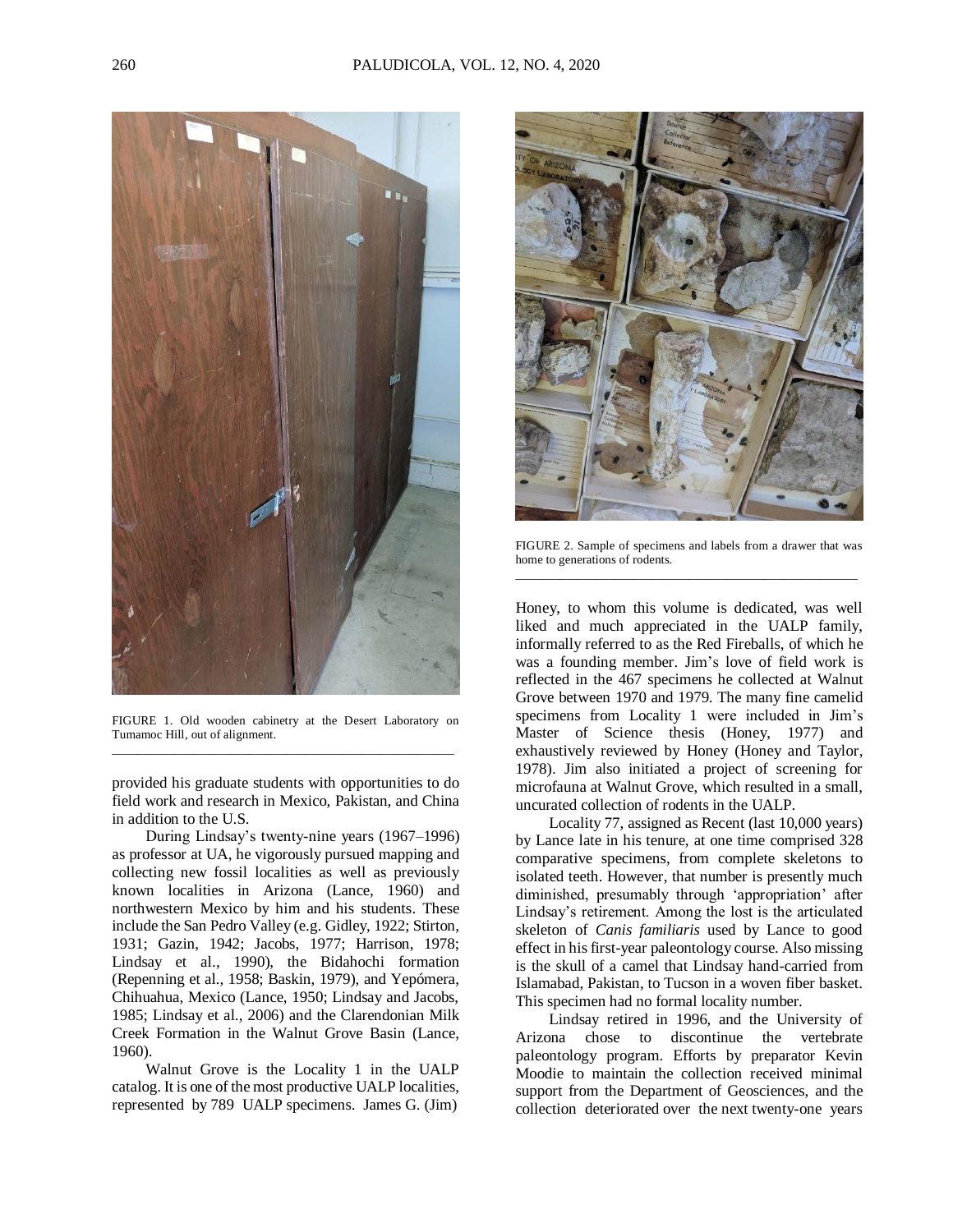

FIGURE 1. Old wooden cabinetry at the Desert Laboratory on Tumamoc Hill, out of alignment. \_\_\_\_\_\_\_\_\_\_\_\_\_\_\_\_\_\_\_\_\_\_\_\_\_\_\_\_\_\_\_\_\_\_\_\_\_\_\_\_\_\_\_\_\_\_\_\_\_\_\_\_\_\_\_

provided his graduate students with opportunities to do field work and research in Mexico, Pakistan, and China in addition to the U.S.

During Lindsay's twenty-nine years (1967–1996) as professor at UA, he vigorously pursued mapping and collecting new fossil localities as well as previously known localities in Arizona (Lance, 1960) and northwestern Mexico by him and his students. These include the San Pedro Valley (e.g. Gidley, 1922; Stirton, 1931; Gazin, 1942; Jacobs, 1977; Harrison, 1978; Lindsay et al., 1990), the Bidahochi formation (Repenning et al., 1958; Baskin, 1979), and Yepómera, Chihuahua, Mexico (Lance, 1950; Lindsay and Jacobs, 1985; Lindsay et al., 2006) and the Clarendonian Milk Creek Formation in the Walnut Grove Basin (Lance, 1960).

Walnut Grove is the Locality 1 in the UALP catalog. It is one of the most productive UALP localities, represented by 789 UALP specimens. James G. (Jim)



FIGURE 2. Sample of specimens and labels from a drawer that was home to generations of rodents. \_\_\_\_\_\_\_\_\_\_\_\_\_\_\_\_\_\_\_\_\_\_\_\_\_\_\_\_\_\_\_\_\_\_\_\_\_\_\_\_\_\_\_\_\_\_\_\_\_\_\_\_\_\_\_

Honey, to whom this volume is dedicated, was well liked and much appreciated in the UALP family, informally referred to as the Red Fireballs, of which he was a founding member. Jim's love of field work is reflected in the 467 specimens he collected at Walnut Grove between 1970 and 1979. The many fine camelid specimens from Locality 1 were included in Jim's Master of Science thesis (Honey, 1977) and exhaustively reviewed by Honey (Honey and Taylor, 1978). Jim also initiated a project of screening for microfauna at Walnut Grove, which resulted in a small, uncurated collection of rodents in the UALP.

Locality 77, assigned as Recent (last 10,000 years) by Lance late in his tenure, at one time comprised 328 comparative specimens, from complete skeletons to isolated teeth. However, that number is presently much diminished, presumably through 'appropriation' after Lindsay's retirement. Among the lost is the articulated skeleton of *Canis familiaris* used by Lance to good effect in his first-year paleontology course. Also missing is the skull of a camel that Lindsay hand-carried from Islamabad, Pakistan, to Tucson in a woven fiber basket. This specimen had no formal locality number.

Lindsay retired in 1996, and the University of Arizona chose to discontinue the vertebrate paleontology program. Efforts by preparator Kevin Moodie to maintain the collection received minimal support from the Department of Geosciences, and the collection deteriorated over the next twenty-one years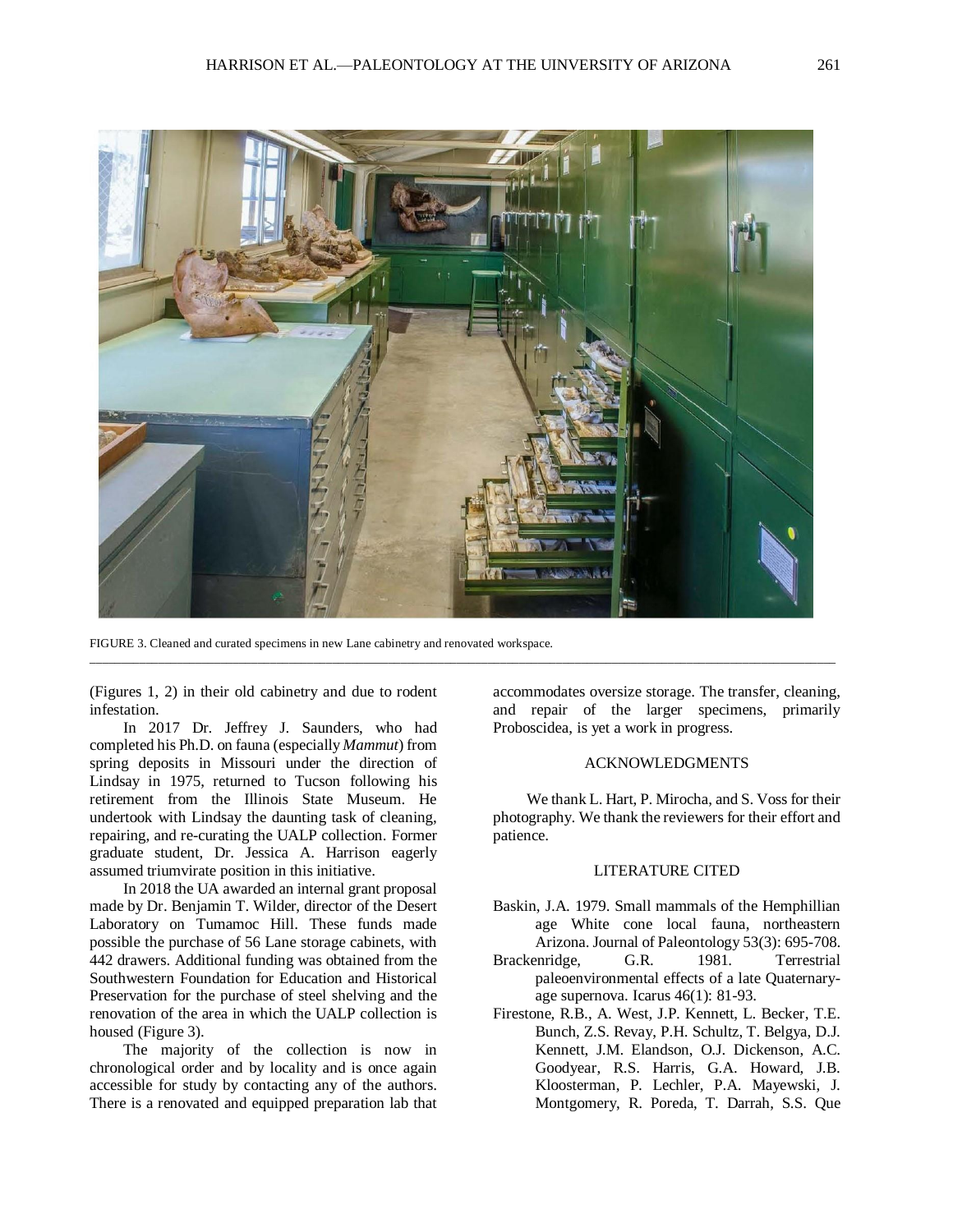

\_\_\_\_\_\_\_\_\_\_\_\_\_\_\_\_\_\_\_\_\_\_\_\_\_\_\_\_\_\_\_\_\_\_\_\_\_\_\_\_\_\_\_\_\_\_\_\_\_\_\_\_\_\_\_\_\_\_\_\_\_\_\_\_\_\_\_\_\_\_\_\_\_\_\_\_\_\_\_\_\_\_\_\_\_\_\_\_\_\_\_\_\_\_\_\_\_\_\_\_\_\_\_\_\_\_\_\_\_\_\_\_\_\_\_\_\_\_\_\_

FIGURE 3. Cleaned and curated specimens in new Lane cabinetry and renovated workspace.

(Figures 1, 2) in their old cabinetry and due to rodent infestation.

In 2017 Dr. Jeffrey J. Saunders, who had completed his Ph.D. on fauna (especially *Mammut*) from spring deposits in Missouri under the direction of Lindsay in 1975, returned to Tucson following his retirement from the Illinois State Museum. He undertook with Lindsay the daunting task of cleaning, repairing, and re-curating the UALP collection. Former graduate student, Dr. Jessica A. Harrison eagerly assumed triumvirate position in this initiative.

In 2018 the UA awarded an internal grant proposal made by Dr. Benjamin T. Wilder, director of the Desert Laboratory on Tumamoc Hill. These funds made possible the purchase of 56 Lane storage cabinets, with 442 drawers. Additional funding was obtained from the Southwestern Foundation for Education and Historical Preservation for the purchase of steel shelving and the renovation of the area in which the UALP collection is housed (Figure 3).

The majority of the collection is now in chronological order and by locality and is once again accessible for study by contacting any of the authors. There is a renovated and equipped preparation lab that

accommodates oversize storage. The transfer, cleaning, and repair of the larger specimens, primarily Proboscidea, is yet a work in progress.

#### ACKNOWLEDGMENTS

We thank L. Hart, P. Mirocha, and S. Voss for their photography. We thank the reviewers for their effort and patience.

## LITERATURE CITED

- Baskin, J.A. 1979. Small mammals of the Hemphillian age White cone local fauna, northeastern Arizona. Journal of Paleontology 53(3): 695-708.
- Brackenridge, G.R. 1981. Terrestrial paleoenvironmental effects of a late Quaternaryage supernova. Icarus 46(1): 81-93.
- Firestone, R.B., A. West, J.P. Kennett, L. Becker, T.E. Bunch, Z.S. Revay, P.H. Schultz, T. Belgya, D.J. Kennett, J.M. Elandson, O.J. Dickenson, A.C. Goodyear, R.S. Harris, G.A. Howard, J.B. Kloosterman, P. Lechler, P.A. Mayewski, J. Montgomery, R. Poreda, T. Darrah, S.S. Que